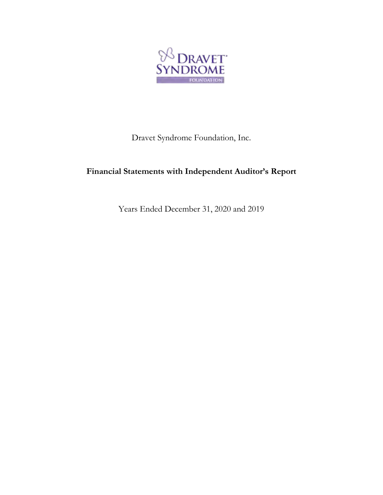

## **Financial Statements with Independent Auditor's Report**

Years Ended December 31, 2020 and 2019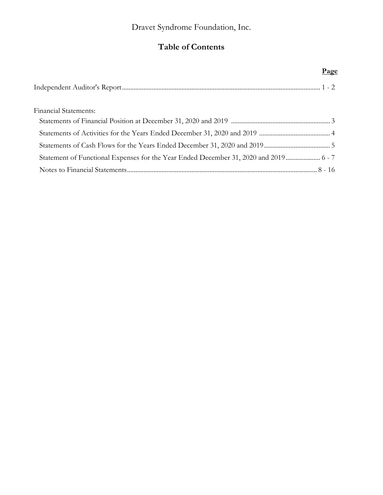## **Table of Contents**

|                                                                                      | Page |
|--------------------------------------------------------------------------------------|------|
|                                                                                      |      |
| <b>Financial Statements:</b>                                                         |      |
|                                                                                      |      |
|                                                                                      |      |
|                                                                                      |      |
| Statement of Functional Expenses for the Year Ended December 31, 2020 and 2019 6 - 7 |      |
|                                                                                      |      |
|                                                                                      |      |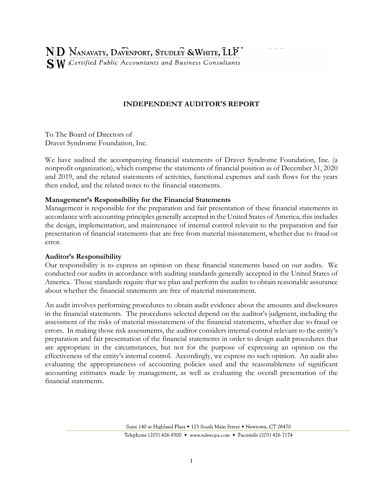N D NANAVATY, DAVENPORT, STUDLEY & WHITE, LLP SW Certified Public Accountants and Business Consultants

## **INDEPENDENT AUDITOR'S REPORT**

To The Board of Directors of Dravet Syndrome Foundation, Inc.

We have audited the accompanying financial statements of Dravet Syndrome Foundation, Inc. (a nonprofit organization), which comprise the statements of financial position as of December 31, 2020 and 2019, and the related statements of activities, functional expenses and cash flows for the years then ended, and the related notes to the financial statements.

#### **Management's Responsibility for the Financial Statements**

Management is responsible for the preparation and fair presentation of these financial statements in accordance with accounting principles generally accepted in the United States of America; this includes the design, implementation, and maintenance of internal control relevant to the preparation and fair presentation of financial statements that are free from material misstatement, whether due to fraud or error.

#### **Auditor's Responsibility**

Our responsibility is to express an opinion on these financial statements based on our audits. We conducted our audits in accordance with auditing standards generally accepted in the United States of America. Those standards require that we plan and perform the audits to obtain reasonable assurance about whether the financial statements are free of material misstatement.

An audit involves performing procedures to obtain audit evidence about the amounts and disclosures in the financial statements. The procedures selected depend on the auditor's judgment, including the assessment of the risks of material misstatement of the financial statements, whether due to fraud or errors. In making those risk assessments, the auditor considers internal control relevant to the entity's preparation and fair presentation of the financial statements in order to design audit procedures that are appropriate in the circumstances, but not for the purpose of expressing an opinion on the effectiveness of the entity's internal control. Accordingly, we express no such opinion. An audit also evaluating the appropriateness of accounting policies used and the reasonableness of significant accounting estimates made by management, as well as evaluating the overall presentation of the financial statements.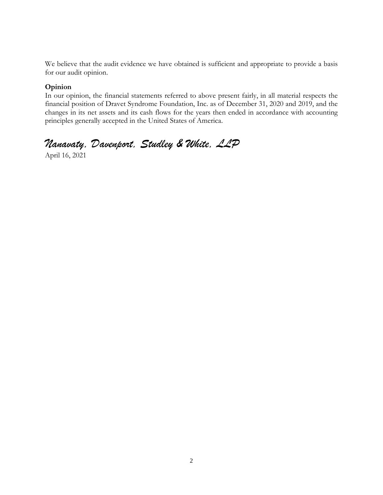We believe that the audit evidence we have obtained is sufficient and appropriate to provide a basis for our audit opinion.

#### **Opinion**

In our opinion, the financial statements referred to above present fairly, in all material respects the financial position of Dravet Syndrome Foundation, Inc. as of December 31, 2020 and 2019, and the changes in its net assets and its cash flows for the years then ended in accordance with accounting principles generally accepted in the United States of America.

# *Nanavaty, Davenport, Studley & White, LLP*

April 16, 2021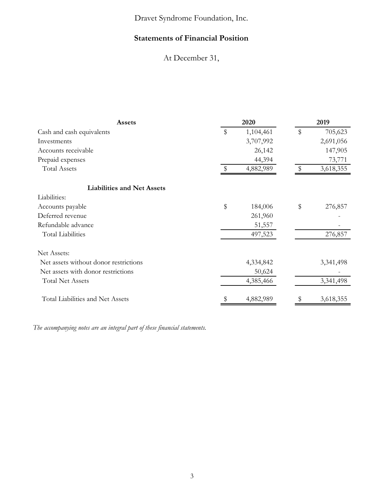## **Statements of Financial Position**

At December 31,

| Assets                                |              | 2020      |                         | 2019      |
|---------------------------------------|--------------|-----------|-------------------------|-----------|
| Cash and cash equivalents             | \$           | 1,104,461 | $\sqrt[6]{\frac{1}{2}}$ | 705,623   |
| Investments                           |              | 3,707,992 |                         | 2,691,056 |
| Accounts receivable                   |              | 26,142    |                         | 147,905   |
| Prepaid expenses                      |              | 44,394    |                         | 73,771    |
| <b>Total Assets</b>                   | $\mathbb{S}$ | 4,882,989 | S                       | 3,618,355 |
| <b>Liabilities and Net Assets</b>     |              |           |                         |           |
| Liabilities:                          |              |           |                         |           |
| Accounts payable                      | \$           | 184,006   | \$                      | 276,857   |
| Deferred revenue                      |              | 261,960   |                         |           |
| Refundable advance                    |              | 51,557    |                         |           |
| <b>Total Liabilities</b>              |              | 497,523   |                         | 276,857   |
| Net Assets:                           |              |           |                         |           |
| Net assets without donor restrictions |              | 4,334,842 |                         | 3,341,498 |
| Net assets with donor restrictions    |              | 50,624    |                         |           |
| <b>Total Net Assets</b>               |              | 4,385,466 |                         | 3,341,498 |
| Total Liabilities and Net Assets      |              | 4,882,989 |                         | 3,618,355 |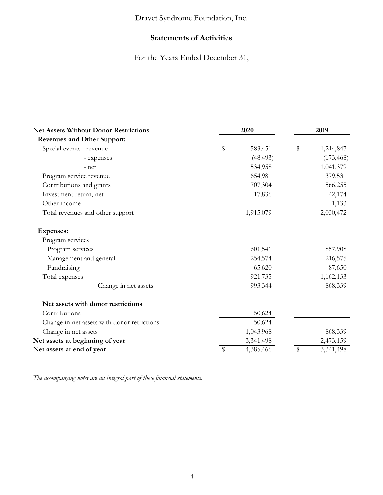## **Statements of Activities**

For the Years Ended December 31,

| <b>Net Assets Without Donor Restrictions</b> |    | 2019      |                 |  |
|----------------------------------------------|----|-----------|-----------------|--|
| <b>Revenues and Other Support:</b>           |    |           |                 |  |
| Special events - revenue                     | \$ | 583,451   | \$<br>1,214,847 |  |
| - expenses                                   |    | (48, 493) | (173, 468)      |  |
| - net                                        |    | 534,958   | 1,041,379       |  |
| Program service revenue                      |    | 654,981   | 379,531         |  |
| Contributions and grants                     |    | 707,304   | 566,255         |  |
| Investment return, net                       |    | 17,836    | 42,174          |  |
| Other income                                 |    |           | 1,133           |  |
| Total revenues and other support             |    | 1,915,079 | 2,030,472       |  |
| <b>Expenses:</b>                             |    |           |                 |  |
| Program services                             |    |           |                 |  |
| Program services                             |    | 601,541   | 857,908         |  |
| Management and general                       |    | 254,574   | 216,575         |  |
| Fundraising                                  |    | 65,620    | 87,650          |  |
| Total expenses                               |    | 921,735   | 1,162,133       |  |
| Change in net assets                         |    | 993,344   | 868,339         |  |
| Net assets with donor restrictions           |    |           |                 |  |
| Contributions                                |    | 50,624    |                 |  |
| Change in net assets with donor retrictions  |    | 50,624    |                 |  |
| Change in net assets                         |    | 1,043,968 | 868,339         |  |
| Net assets at beginning of year              |    | 3,341,498 | 2,473,159       |  |
| Net assets at end of year                    | \$ | 4,385,466 | \$<br>3,341,498 |  |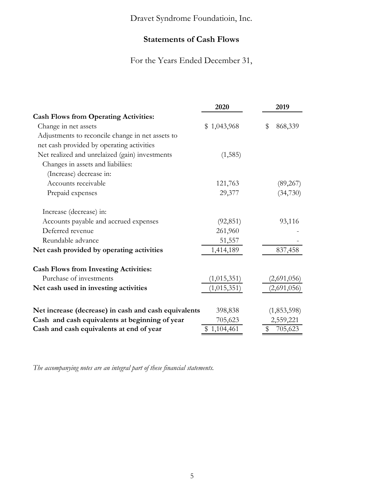## **Statements of Cash Flows**

For the Years Ended December 31,

|                                                      | 2020        | 2019             |
|------------------------------------------------------|-------------|------------------|
| <b>Cash Flows from Operating Activities:</b>         |             |                  |
| Change in net assets                                 | \$1,043,968 | 868,339<br>\$    |
| Adjustments to reconcile change in net assets to     |             |                  |
| net cash provided by operating activities            |             |                  |
| Net realized and unrelaized (gain) investments       | (1,585)     |                  |
| Changes in assets and liabiliies:                    |             |                  |
| (Increase) decrease in:                              |             |                  |
| Accounts receivable                                  | 121,763     | (89,267)         |
| Prepaid expenses                                     | 29,377      | (34,730)         |
| Increase (decrease) in:                              |             |                  |
| Accounts payable and accrued expenses                | (92, 851)   | 93,116           |
| Deferred revenue                                     | 261,960     |                  |
| Reundable advance                                    | 51,557      |                  |
| Net cash provided by operating activities            | 1,414,189   | 837,458          |
| <b>Cash Flows from Investing Activities:</b>         |             |                  |
| Purchase of investments                              | (1,015,351) | (2,691,056)      |
| Net cash used in investing activities                | (1,015,351) | (2,691,056)      |
| Net increase (decrease) in cash and cash equivalents | 398,838     | (1,853,598)      |
| Cash and cash equivalents at beginning of year       | 705,623     | 2,559,221        |
| Cash and cash equivalents at end of year             | \$1,104,461 | $\$\$<br>705,623 |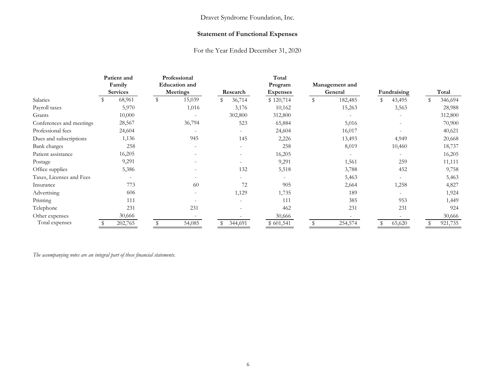#### **Statement of Functional Expenses**

For the Year Ended December 31, 2020

|                          |        | Patient and     |                      | Professional             |                          | Total           |             |                          |    |                          |       |         |
|--------------------------|--------|-----------------|----------------------|--------------------------|--------------------------|-----------------|-------------|--------------------------|----|--------------------------|-------|---------|
|                          | Family |                 | <b>Education</b> and |                          | Program                  |                 |             | Management and           |    |                          |       |         |
|                          |        | <b>Services</b> |                      | <b>Meetings</b>          | Research                 | <b>Expenses</b> |             | General                  |    | Fundraising              | Total |         |
| Salaries                 |        | 68,961          | $\mathbb S$          | 15,039                   | \$<br>36,714             | \$120,714       | $\mathbb S$ | 182,485                  | \$ | 43,495                   | \$    | 346,694 |
| Payroll taxes            |        | 5,970           |                      | 1,016                    | 3,176                    | 10,162          |             | 15,263                   |    | 3,563                    |       | 28,988  |
| Grants                   |        | 10,000          |                      | $\overline{\phantom{a}}$ | 302,800                  | 312,800         |             |                          |    |                          |       | 312,800 |
| Conferences and meetings |        | 28,567          |                      | 36,794                   | 523                      | 65,884          |             | 5,016                    |    | $\overline{\phantom{a}}$ |       | 70,900  |
| Professional fees        |        | 24,604          |                      | $\overline{\phantom{a}}$ |                          | 24,604          |             | 16,017                   |    |                          |       | 40,621  |
| Dues and subscriptions   |        | 1,136           |                      | 945                      | 145                      | 2,226           |             | 13,493                   |    | 4,949                    |       | 20,668  |
| Bank charges             |        | 258             |                      | $\overline{\phantom{a}}$ | $\overline{\phantom{a}}$ | 258             |             | 8,019                    |    | 10,460                   |       | 18,737  |
| Patient assistance       |        | 16,205          |                      | $\overline{\phantom{a}}$ | $\overline{\phantom{a}}$ | 16,205          |             | $\overline{\phantom{a}}$ |    | $\overline{\phantom{a}}$ |       | 16,205  |
| Postage                  |        | 9,291           |                      | $\overline{\phantom{a}}$ |                          | 9,291           |             | 1,561                    |    | 259                      |       | 11,111  |
| Office supplies          |        | 5,386           |                      | $\overline{\phantom{a}}$ | 132                      | 5,518           |             | 3,788                    |    | 452                      |       | 9,758   |
| Taxes, Licenses and Fees |        |                 |                      |                          |                          |                 |             | 5,463                    |    |                          |       | 5,463   |
| Insurance                |        | 773             |                      | 60                       | 72                       | 905             |             | 2,664                    |    | 1,258                    |       | 4,827   |
| Advertising              |        | 606             |                      | ٠                        | 1,129                    | 1,735           |             | 189                      |    | $\sim$                   |       | 1,924   |
| Printing                 |        | 111             |                      |                          | $\overline{\phantom{a}}$ | 111             |             | 385                      |    | 953                      |       | 1,449   |
| Telephone                |        | 231             |                      | 231                      |                          | 462             |             | 231                      |    | 231                      |       | 924     |
| Other expenses           |        | 30,666          |                      | $\overline{\phantom{a}}$ |                          | 30,666          |             | $\overline{\phantom{a}}$ |    |                          |       | 30,666  |
| Total expenses           |        | 202,765         |                      | 54,085                   | 344,691                  | \$601,541       |             | 254,574                  |    | 65,620                   |       | 921,735 |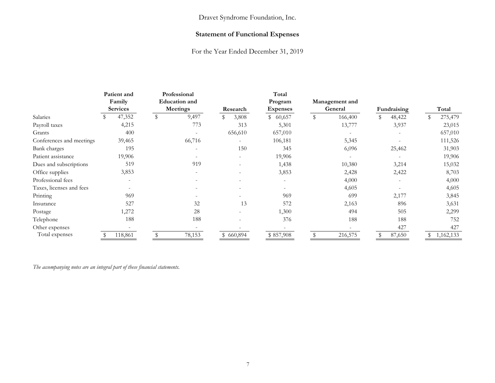#### **Statement of Functional Expenses**

For the Year Ended December 31, 2019

|                          |                                                                      | Patient and |                           | Professional             |                          | Total                |    |         |    |             |       |           |
|--------------------------|----------------------------------------------------------------------|-------------|---------------------------|--------------------------|--------------------------|----------------------|----|---------|----|-------------|-------|-----------|
|                          | Family<br><b>Education</b> and<br><b>Services</b><br><b>Meetings</b> |             | Program<br>Management and |                          |                          |                      |    |         |    |             |       |           |
|                          |                                                                      |             |                           |                          | Research                 | <b>Expenses</b>      |    | General |    | Fundraising | Total |           |
| Salaries                 |                                                                      | 47,352      | \$                        | 9,497                    | \$<br>3,808              | $^{\circ}$<br>60,657 | \$ | 166,400 | \$ | 48,422      | \$    | 275,479   |
| Payroll taxes            |                                                                      | 4,215       |                           | 773                      | 313                      | 5,301                |    | 13,777  |    | 3,937       |       | 23,015    |
| Grants                   |                                                                      | 400         |                           |                          | 656,610                  | 657,010              |    |         |    |             |       | 657,010   |
| Conferences and meetings |                                                                      | 39,465      |                           | 66,716                   | $\overline{\phantom{a}}$ | 106,181              |    | 5,345   |    |             |       | 111,526   |
| Bank charges             |                                                                      | 195         |                           | $\overline{\phantom{a}}$ | 150                      | 345                  |    | 6,096   |    | 25,462      |       | 31,903    |
| Patient assistance       |                                                                      | 19,906      |                           |                          | $\overline{\phantom{a}}$ | 19,906               |    |         |    |             |       | 19,906    |
| Dues and subscriptions   |                                                                      | 519         |                           | 919                      | $\overline{\phantom{a}}$ | 1,438                |    | 10,380  |    | 3,214       |       | 15,032    |
| Office supplies          |                                                                      | 3,853       |                           | $\overline{\phantom{a}}$ |                          | 3,853                |    | 2,428   |    | 2,422       |       | 8,703     |
| Professional fees        |                                                                      | ۰           |                           | $\overline{\phantom{a}}$ |                          |                      |    | 4,000   |    |             |       | 4,000     |
| Taxes, licenses and fees |                                                                      | $\equiv$    |                           | $\overline{\phantom{a}}$ | $\overline{a}$           |                      |    | 4,605   |    |             |       | 4,605     |
| Printing                 |                                                                      | 969         |                           |                          | $\overline{\phantom{a}}$ | 969                  |    | 699     |    | 2,177       |       | 3,845     |
| Insurance                |                                                                      | 527         |                           | 32                       | 13                       | 572                  |    | 2,163   |    | 896         |       | 3,631     |
| Postage                  |                                                                      | 1,272       |                           | 28                       |                          | 1,300                |    | 494     |    | 505         |       | 2,299     |
| Telephone                |                                                                      | 188         |                           | 188                      | $\overline{\phantom{a}}$ | 376                  |    | 188     |    | 188         |       | 752       |
| Other expenses           |                                                                      | ۰           |                           |                          |                          |                      |    |         |    | 427         |       | 427       |
| Total expenses           |                                                                      | 118,861     |                           | 78,153                   | \$ 660,894               | \$857,908            |    | 216,575 |    | 87,650      |       | 1,162,133 |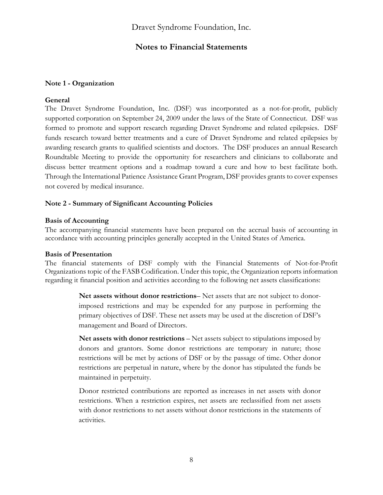### **Notes to Financial Statements**

#### **Note 1 - Organization**

#### **General**

The Dravet Syndrome Foundation, Inc. (DSF) was incorporated as a not-for-profit, publicly supported corporation on September 24, 2009 under the laws of the State of Connecticut. DSF was formed to promote and support research regarding Dravet Syndrome and related epilepsies. DSF funds research toward better treatments and a cure of Dravet Syndrome and related epilepsies by awarding research grants to qualified scientists and doctors. The DSF produces an annual Research Roundtable Meeting to provide the opportunity for researchers and clinicians to collaborate and discuss better treatment options and a roadmap toward a cure and how to best facilitate both. Through the International Patience Assistance Grant Program, DSF provides grants to cover expenses not covered by medical insurance.

#### **Note 2 - Summary of Significant Accounting Policies**

#### **Basis of Accounting**

The accompanying financial statements have been prepared on the accrual basis of accounting in accordance with accounting principles generally accepted in the United States of America.

#### **Basis of Presentation**

The financial statements of DSF comply with the Financial Statements of Not-for-Profit Organizations topic of the FASB Codification. Under this topic, the Organization reports information regarding it financial position and activities according to the following net assets classifications:

> **Net assets without donor restrictions**– Net assets that are not subject to donorimposed restrictions and may be expended for any purpose in performing the primary objectives of DSF. These net assets may be used at the discretion of DSF's management and Board of Directors.

> **Net assets with donor restrictions** – Net assets subject to stipulations imposed by donors and grantors. Some donor restrictions are temporary in nature; those restrictions will be met by actions of DSF or by the passage of time. Other donor restrictions are perpetual in nature, where by the donor has stipulated the funds be maintained in perpetuity.

> Donor restricted contributions are reported as increases in net assets with donor restrictions. When a restriction expires, net assets are reclassified from net assets with donor restrictions to net assets without donor restrictions in the statements of activities.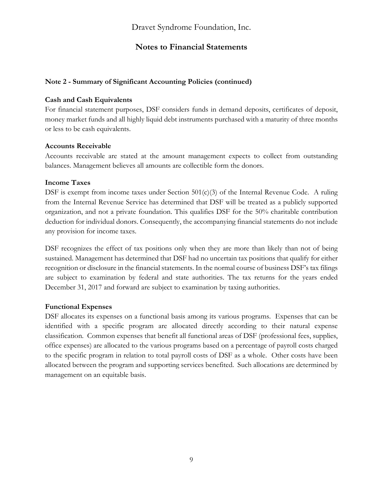#### **Note 2 - Summary of Significant Accounting Policies (continued)**

#### **Cash and Cash Equivalents**

For financial statement purposes, DSF considers funds in demand deposits, certificates of deposit, money market funds and all highly liquid debt instruments purchased with a maturity of three months or less to be cash equivalents.

#### **Accounts Receivable**

Accounts receivable are stated at the amount management expects to collect from outstanding balances. Management believes all amounts are collectible form the donors.

#### **Income Taxes**

DSF is exempt from income taxes under Section 501(c)(3) of the Internal Revenue Code. A ruling from the Internal Revenue Service has determined that DSF will be treated as a publicly supported organization, and not a private foundation. This qualifies DSF for the 50% charitable contribution deduction for individual donors. Consequently, the accompanying financial statements do not include any provision for income taxes.

DSF recognizes the effect of tax positions only when they are more than likely than not of being sustained. Management has determined that DSF had no uncertain tax positions that qualify for either recognition or disclosure in the financial statements. In the normal course of business DSF's tax filings are subject to examination by federal and state authorities. The tax returns for the years ended December 31, 2017 and forward are subject to examination by taxing authorities.

#### **Functional Expenses**

DSF allocates its expenses on a functional basis among its various programs. Expenses that can be identified with a specific program are allocated directly according to their natural expense classification. Common expenses that benefit all functional areas of DSF (professional fees, supplies, office expenses) are allocated to the various programs based on a percentage of payroll costs charged to the specific program in relation to total payroll costs of DSF as a whole. Other costs have been allocated between the program and supporting services benefited. Such allocations are determined by management on an equitable basis.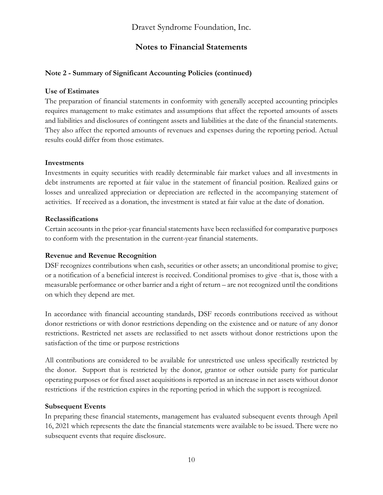## **Notes to Financial Statements**

#### **Note 2 - Summary of Significant Accounting Policies (continued)**

#### **Use of Estimates**

The preparation of financial statements in conformity with generally accepted accounting principles requires management to make estimates and assumptions that affect the reported amounts of assets and liabilities and disclosures of contingent assets and liabilities at the date of the financial statements. They also affect the reported amounts of revenues and expenses during the reporting period. Actual results could differ from those estimates.

#### **Investments**

Investments in equity securities with readily determinable fair market values and all investments in debt instruments are reported at fair value in the statement of financial position. Realized gains or losses and unrealized appreciation or depreciation are reflected in the accompanying statement of activities. If received as a donation, the investment is stated at fair value at the date of donation.

#### **Reclassifications**

Certain accounts in the prior-year financial statements have been reclassified for comparative purposes to conform with the presentation in the current-year financial statements.

#### **Revenue and Revenue Recognition**

DSF recognizes contributions when cash, securities or other assets; an unconditional promise to give; or a notification of a beneficial interest is received. Conditional promises to give -that is, those with a measurable performance or other barrier and a right of return – are not recognized until the conditions on which they depend are met.

In accordance with financial accounting standards, DSF records contributions received as without donor restrictions or with donor restrictions depending on the existence and or nature of any donor restrictions. Restricted net assets are reclassified to net assets without donor restrictions upon the satisfaction of the time or purpose restrictions

All contributions are considered to be available for unrestricted use unless specifically restricted by the donor. Support that is restricted by the donor, grantor or other outside party for particular operating purposes or for fixed asset acquisitions is reported as an increase in net assets without donor restrictions if the restriction expires in the reporting period in which the support is recognized.

#### **Subsequent Events**

In preparing these financial statements, management has evaluated subsequent events through April 16, 2021 which represents the date the financial statements were available to be issued. There were no subsequent events that require disclosure.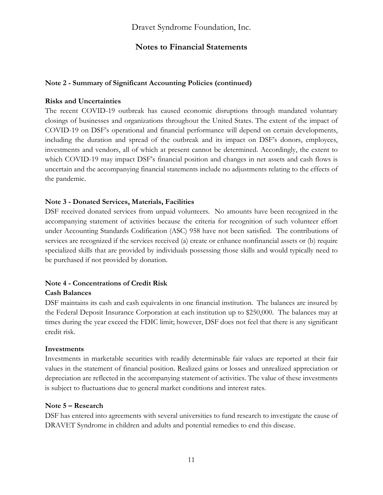#### **Note 2 - Summary of Significant Accounting Policies (continued)**

#### **Risks and Uncertainties**

The recent COVID-19 outbreak has caused economic disruptions through mandated voluntary closings of businesses and organizations throughout the United States. The extent of the impact of COVID-19 on DSF's operational and financial performance will depend on certain developments, including the duration and spread of the outbreak and its impact on DSF's donors, employees, investments and vendors, all of which at present cannot be determined. Accordingly, the extent to which COVID-19 may impact DSF's financial position and changes in net assets and cash flows is uncertain and the accompanying financial statements include no adjustments relating to the effects of the pandemic.

#### **Note 3 - Donated Services, Materials, Facilities**

DSF received donated services from unpaid volunteers. No amounts have been recognized in the accompanying statement of activities because the criteria for recognition of such volunteer effort under Accounting Standards Codification (ASC) 958 have not been satisfied. The contributions of services are recognized if the services received (a) create or enhance nonfinancial assets or (b) require specialized skills that are provided by individuals possessing those skills and would typically need to be purchased if not provided by donation.

#### **Note 4 - Concentrations of Credit Risk**

#### **Cash Balances**

DSF maintains its cash and cash equivalents in one financial institution. The balances are insured by the Federal Deposit Insurance Corporation at each institution up to \$250,000. The balances may at times during the year exceed the FDIC limit; however, DSF does not feel that there is any significant credit risk.

#### **Investments**

Investments in marketable securities with readily determinable fair values are reported at their fair values in the statement of financial position. Realized gains or losses and unrealized appreciation or depreciation are reflected in the accompanying statement of activities. The value of these investments is subject to fluctuations due to general market conditions and interest rates.

#### **Note 5 – Research**

DSF has entered into agreements with several universities to fund research to investigate the cause of DRAVET Syndrome in children and adults and potential remedies to end this disease.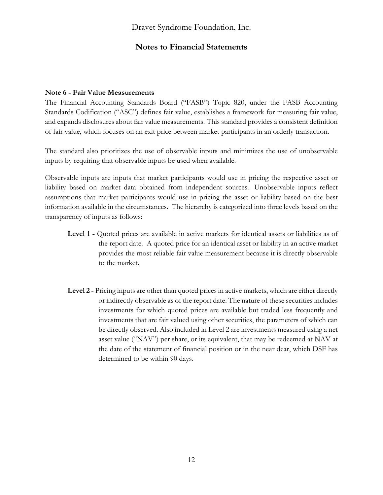#### **Note 6 - Fair Value Measurements**

The Financial Accounting Standards Board ("FASB") Topic 820, under the FASB Accounting Standards Codification ("ASC") defines fair value, establishes a framework for measuring fair value, and expands disclosures about fair value measurements. This standard provides a consistent definition of fair value, which focuses on an exit price between market participants in an orderly transaction.

The standard also prioritizes the use of observable inputs and minimizes the use of unobservable inputs by requiring that observable inputs be used when available.

Observable inputs are inputs that market participants would use in pricing the respective asset or liability based on market data obtained from independent sources. Unobservable inputs reflect assumptions that market participants would use in pricing the asset or liability based on the best information available in the circumstances. The hierarchy is categorized into three levels based on the transparency of inputs as follows:

- **Level 1 -** Quoted prices are available in active markets for identical assets or liabilities as of the report date. A quoted price for an identical asset or liability in an active market provides the most reliable fair value measurement because it is directly observable to the market.
- **Level 2 -** Pricing inputs are other than quoted prices in active markets, which are either directly or indirectly observable as of the report date. The nature of these securities includes investments for which quoted prices are available but traded less frequently and investments that are fair valued using other securities, the parameters of which can be directly observed. Also included in Level 2 are investments measured using a net asset value ("NAV") per share, or its equivalent, that may be redeemed at NAV at the date of the statement of financial position or in the near dear, which DSF has determined to be within 90 days.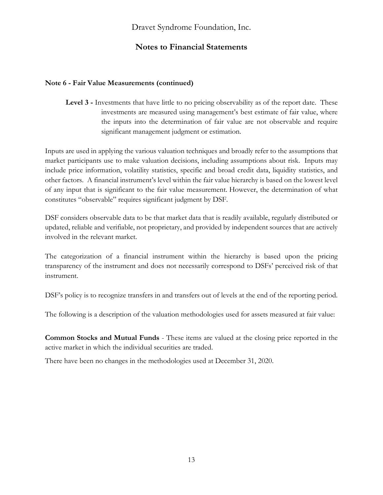## **Notes to Financial Statements**

#### **Note 6 - Fair Value Measurements (continued)**

 **Level 3 -** Investments that have little to no pricing observability as of the report date. These investments are measured using management's best estimate of fair value, where the inputs into the determination of fair value are not observable and require significant management judgment or estimation.

Inputs are used in applying the various valuation techniques and broadly refer to the assumptions that market participants use to make valuation decisions, including assumptions about risk. Inputs may include price information, volatility statistics, specific and broad credit data, liquidity statistics, and other factors. A financial instrument's level within the fair value hierarchy is based on the lowest level of any input that is significant to the fair value measurement. However, the determination of what constitutes "observable" requires significant judgment by DSF.

DSF considers observable data to be that market data that is readily available, regularly distributed or updated, reliable and verifiable, not proprietary, and provided by independent sources that are actively involved in the relevant market.

The categorization of a financial instrument within the hierarchy is based upon the pricing transparency of the instrument and does not necessarily correspond to DSFs' perceived risk of that instrument.

DSF's policy is to recognize transfers in and transfers out of levels at the end of the reporting period.

The following is a description of the valuation methodologies used for assets measured at fair value:

**Common Stocks and Mutual Funds** - These items are valued at the closing price reported in the active market in which the individual securities are traded.

There have been no changes in the methodologies used at December 31, 2020.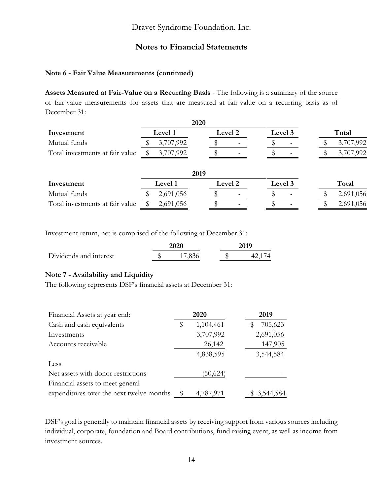#### **Note 6 - Fair Value Measurements (continued)**

**Assets Measured at Fair-Value on a Recurring Basis** - The following is a summary of the source of fair-value measurements for assets that are measured at fair-value on a recurring basis as of December 31:

| Investment                      | Level 1   | Level 2 | Level 3 | Total     |
|---------------------------------|-----------|---------|---------|-----------|
| Mutual funds                    | 3,707,992 |         | -       | 3,707,992 |
| Total investments at fair value | 3,707,992 |         | -       | 3,707,992 |

| Investment                      | Level 1   | Level 2                  | Level 3                  | Total     |
|---------------------------------|-----------|--------------------------|--------------------------|-----------|
| Mutual funds                    | 2,691,056 | $\overline{\phantom{0}}$ | $\overline{\phantom{0}}$ | 2,691,056 |
| Total investments at fair value | 2,691,056 | $\overline{\phantom{0}}$ | $\overline{\phantom{0}}$ | 2,691,056 |

Investment return, net is comprised of the following at December 31:

|                        | 2020   | 2019 |  |  |
|------------------------|--------|------|--|--|
| Dividends and interest | 17,836 |      |  |  |

#### **Note 7 - Availability and Liquidity**

The following represents DSF's financial assets at December 31:

| Financial Assets at year end:            | 2020            | 2019         |
|------------------------------------------|-----------------|--------------|
| Cash and cash equivalents                | \$<br>1,104,461 | 705,623<br>5 |
| Investments                              | 3,707,992       | 2,691,056    |
| Accounts receivable                      | 26,142          | 147,905      |
|                                          | 4,838,595       | 3,544,584    |
| Less                                     |                 |              |
| Net assets with donor restrictions       | (50,624)        |              |
| Financial assets to meet general         |                 |              |
| expenditures over the next twelve months | 4,787,971       | 3,544,584    |

DSF's goal is generally to maintain financial assets by receiving support from various sources including individual, corporate, foundation and Board contributions, fund raising event, as well as income from investment sources.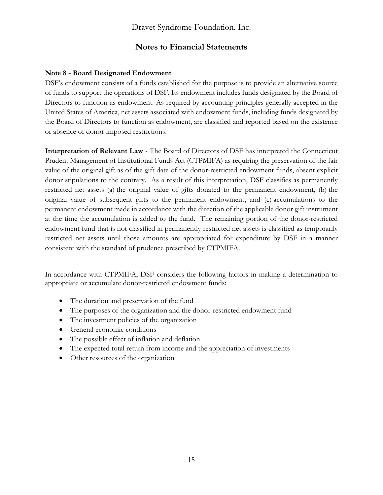## **Notes to Financial Statements**

#### **Note 8 - Board Designated Endowment**

DSF's endowment consists of a funds established for the purpose is to provide an alternative source of funds to support the operations of DSF. Its endowment includes funds designated by the Board of Directors to function as endowment. As required by accounting principles generally accepted in the United States of America, net assets associated with endowment funds, including funds designated by the Board of Directors to function as endowment, are classified and reported based on the existence or absence of donor-imposed restrictions.

**Interpretation of Relevant Law** - The Board of Directors of DSF has interpreted the Connecticut Prudent Management of Institutional Funds Act (CTPMIFA) as requiring the preservation of the fair value of the original gift as of the gift date of the donor-restricted endowment funds, absent explicit donor stipulations to the contrary. As a result of this interpretation, DSF classifies as permanently restricted net assets (a) the original value of gifts donated to the permanent endowment, (b) the original value of subsequent gifts to the permanent endowment, and (c) accumulations to the permanent endowment made in accordance with the direction of the applicable donor gift instrument at the time the accumulation is added to the fund. The remaining portion of the donor-restricted endowment fund that is not classified in permanently restricted net assets is classified as temporarily restricted net assets until those amounts are appropriated for expenditure by DSF in a manner consistent with the standard of prudence prescribed by CTPMIFA.

In accordance with CTPMIFA, DSF considers the following factors in making a determination to appropriate or accumulate donor-restricted endowment funds:

- The duration and preservation of the fund
- The purposes of the organization and the donor-restricted endowment fund
- The investment policies of the organization
- General economic conditions
- The possible effect of inflation and deflation
- The expected total return from income and the appreciation of investments
- Other resources of the organization